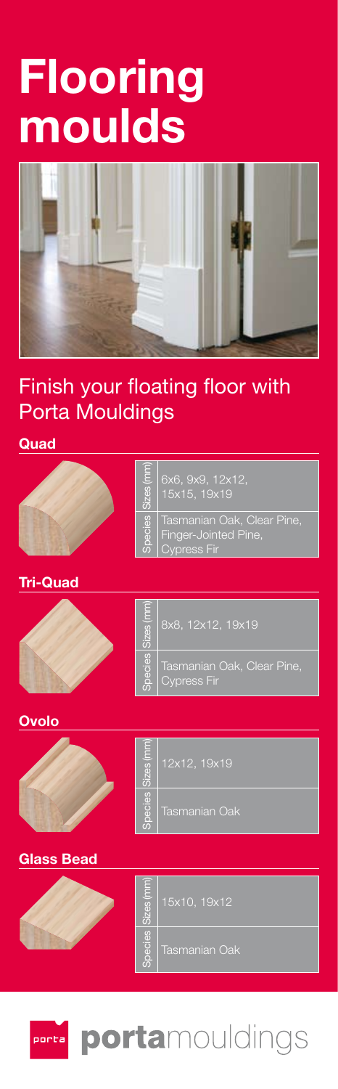# **Flooring moulds**



## Finish your floating floor with Porta Mouldings

## **Quad**





| Ē       | 6x6, 9x9, 12x12,                                                         |
|---------|--------------------------------------------------------------------------|
| க்      | 15x15, 19x19                                                             |
| Species | Tasmanian Oak, Clear Pine,<br>Finger-Jointed Pine,<br><b>Cypress Fir</b> |

## **Tri-Quad**



| zes (mr<br>க் | 8x8, 12x12, 19x19          |
|---------------|----------------------------|
| cies          | Tasmanian Oak, Clear Pine, |
| peg           | Cypress Fir                |

**Ovolo**



| Ξ<br>Чò. | 12x12, 19x19         |
|----------|----------------------|
| cies     | <b>Tasmanian Oak</b> |

## **Glass Bead**



| È<br>π | 15x10, 19x12  |
|--------|---------------|
| ă<br>ŏ | Tasmanian Oak |



## portamouldings